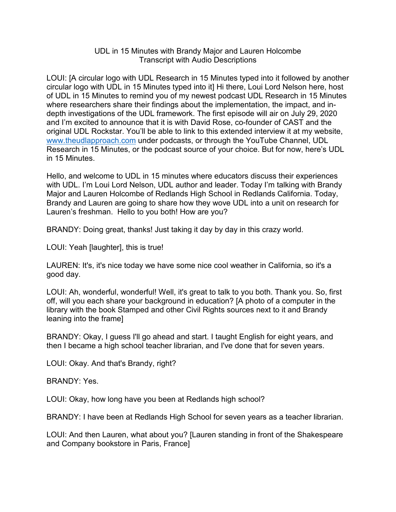## UDL in 15 Minutes with Brandy Major and Lauren Holcombe Transcript with Audio Descriptions

LOUI: [A circular logo with UDL Research in 15 Minutes typed into it followed by another circular logo with UDL in 15 Minutes typed into it] Hi there, Loui Lord Nelson here, host of UDL in 15 Minutes to remind you of my newest podcast UDL Research in 15 Minutes where researchers share their findings about the implementation, the impact, and indepth investigations of the UDL framework. The first episode will air on July 29, 2020 and I'm excited to announce that it is with David Rose, co-founder of CAST and the original UDL Rockstar. You'll be able to link to this extended interview it at my website, [www.theudlapproach.com](http://www.theudlapproach.com/) under podcasts, or through the YouTube Channel, UDL Research in 15 Minutes, or the podcast source of your choice. But for now, here's UDL in 15 Minutes.

Hello, and welcome to UDL in 15 minutes where educators discuss their experiences with UDL. I'm Loui Lord Nelson, UDL author and leader. Today I'm talking with Brandy Major and Lauren Holcombe of Redlands High School in Redlands California. Today, Brandy and Lauren are going to share how they wove UDL into a unit on research for Lauren's freshman. Hello to you both! How are you?

BRANDY: Doing great, thanks! Just taking it day by day in this crazy world.

LOUI: Yeah [laughter], this is true!

LAUREN: It's, it's nice today we have some nice cool weather in California, so it's a good day.

LOUI: Ah, wonderful, wonderful! Well, it's great to talk to you both. Thank you. So, first off, will you each share your background in education? [A photo of a computer in the library with the book Stamped and other Civil Rights sources next to it and Brandy leaning into the frame]

BRANDY: Okay, I guess I'll go ahead and start. I taught English for eight years, and then I became a high school teacher librarian, and I've done that for seven years.

LOUI: Okay. And that's Brandy, right?

BRANDY: Yes.

LOUI: Okay, how long have you been at Redlands high school?

BRANDY: I have been at Redlands High School for seven years as a teacher librarian.

LOUI: And then Lauren, what about you? [Lauren standing in front of the Shakespeare and Company bookstore in Paris, France]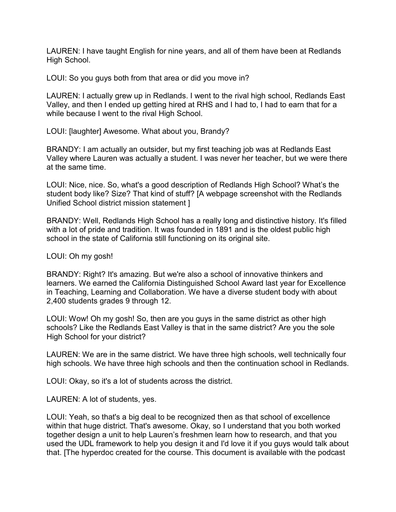LAUREN: I have taught English for nine years, and all of them have been at Redlands High School.

LOUI: So you guys both from that area or did you move in?

LAUREN: I actually grew up in Redlands. I went to the rival high school, Redlands East Valley, and then I ended up getting hired at RHS and I had to, I had to earn that for a while because I went to the rival High School.

LOUI: [laughter] Awesome. What about you, Brandy?

BRANDY: I am actually an outsider, but my first teaching job was at Redlands East Valley where Lauren was actually a student. I was never her teacher, but we were there at the same time.

LOUI: Nice, nice. So, what's a good description of Redlands High School? What's the student body like? Size? That kind of stuff? [A webpage screenshot with the Redlands Unified School district mission statement ]

BRANDY: Well, Redlands High School has a really long and distinctive history. It's filled with a lot of pride and tradition. It was founded in 1891 and is the oldest public high school in the state of California still functioning on its original site.

LOUI: Oh my gosh!

BRANDY: Right? It's amazing. But we're also a school of innovative thinkers and learners. We earned the California Distinguished School Award last year for Excellence in Teaching, Learning and Collaboration. We have a diverse student body with about 2,400 students grades 9 through 12.

LOUI: Wow! Oh my gosh! So, then are you guys in the same district as other high schools? Like the Redlands East Valley is that in the same district? Are you the sole High School for your district?

LAUREN: We are in the same district. We have three high schools, well technically four high schools. We have three high schools and then the continuation school in Redlands.

LOUI: Okay, so it's a lot of students across the district.

LAUREN: A lot of students, yes.

LOUI: Yeah, so that's a big deal to be recognized then as that school of excellence within that huge district. That's awesome. Okay, so I understand that you both worked together design a unit to help Lauren's freshmen learn how to research, and that you used the UDL framework to help you design it and I'd love it if you guys would talk about that. [The hyperdoc created for the course. This document is available with the podcast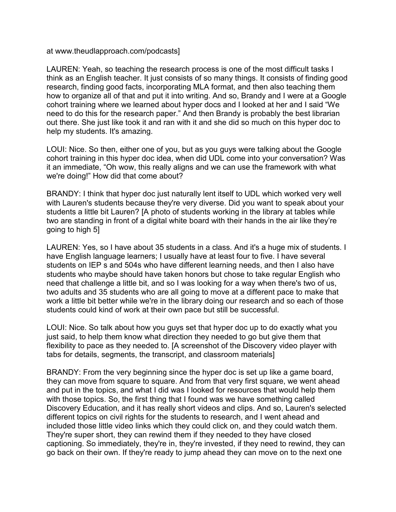at www.theudlapproach.com/podcasts]

LAUREN: Yeah, so teaching the research process is one of the most difficult tasks I think as an English teacher. It just consists of so many things. It consists of finding good research, finding good facts, incorporating MLA format, and then also teaching them how to organize all of that and put it into writing. And so, Brandy and I were at a Google cohort training where we learned about hyper docs and I looked at her and I said "We need to do this for the research paper." And then Brandy is probably the best librarian out there. She just like took it and ran with it and she did so much on this hyper doc to help my students. It's amazing.

LOUI: Nice. So then, either one of you, but as you guys were talking about the Google cohort training in this hyper doc idea, when did UDL come into your conversation? Was it an immediate, "Oh wow, this really aligns and we can use the framework with what we're doing!" How did that come about?

BRANDY: I think that hyper doc just naturally lent itself to UDL which worked very well with Lauren's students because they're very diverse. Did you want to speak about your students a little bit Lauren? [A photo of students working in the library at tables while two are standing in front of a digital white board with their hands in the air like they're going to high 5]

LAUREN: Yes, so I have about 35 students in a class. And it's a huge mix of students. I have English language learners; I usually have at least four to five. I have several students on IEP s and 504s who have different learning needs, and then I also have students who maybe should have taken honors but chose to take regular English who need that challenge a little bit, and so I was looking for a way when there's two of us, two adults and 35 students who are all going to move at a different pace to make that work a little bit better while we're in the library doing our research and so each of those students could kind of work at their own pace but still be successful.

LOUI: Nice. So talk about how you guys set that hyper doc up to do exactly what you just said, to help them know what direction they needed to go but give them that flexibility to pace as they needed to. [A screenshot of the Discovery video player with tabs for details, segments, the transcript, and classroom materials]

BRANDY: From the very beginning since the hyper doc is set up like a game board, they can move from square to square. And from that very first square, we went ahead and put in the topics, and what I did was I looked for resources that would help them with those topics. So, the first thing that I found was we have something called Discovery Education, and it has really short videos and clips. And so, Lauren's selected different topics on civil rights for the students to research, and I went ahead and included those little video links which they could click on, and they could watch them. They're super short, they can rewind them if they needed to they have closed captioning. So immediately, they're in, they're invested, if they need to rewind, they can go back on their own. If they're ready to jump ahead they can move on to the next one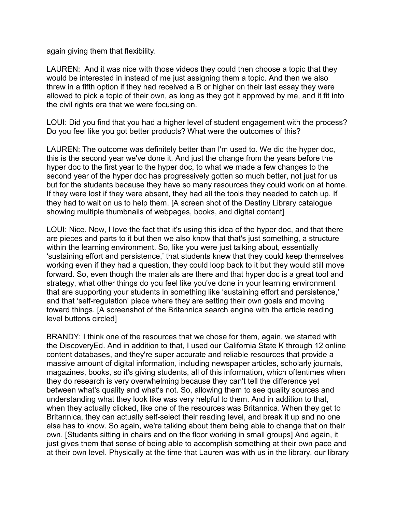again giving them that flexibility.

LAUREN: And it was nice with those videos they could then choose a topic that they would be interested in instead of me just assigning them a topic. And then we also threw in a fifth option if they had received a B or higher on their last essay they were allowed to pick a topic of their own, as long as they got it approved by me, and it fit into the civil rights era that we were focusing on.

LOUI: Did you find that you had a higher level of student engagement with the process? Do you feel like you got better products? What were the outcomes of this?

LAUREN: The outcome was definitely better than I'm used to. We did the hyper doc, this is the second year we've done it. And just the change from the years before the hyper doc to the first year to the hyper doc, to what we made a few changes to the second year of the hyper doc has progressively gotten so much better, not just for us but for the students because they have so many resources they could work on at home. If they were lost if they were absent, they had all the tools they needed to catch up. If they had to wait on us to help them. [A screen shot of the Destiny Library catalogue showing multiple thumbnails of webpages, books, and digital content]

LOUI: Nice. Now, I love the fact that it's using this idea of the hyper doc, and that there are pieces and parts to it but then we also know that that's just something, a structure within the learning environment. So, like you were just talking about, essentially 'sustaining effort and persistence,' that students knew that they could keep themselves working even if they had a question, they could loop back to it but they would still move forward. So, even though the materials are there and that hyper doc is a great tool and strategy, what other things do you feel like you've done in your learning environment that are supporting your students in something like 'sustaining effort and persistence,' and that 'self-regulation' piece where they are setting their own goals and moving toward things. [A screenshot of the Britannica search engine with the article reading level buttons circled]

BRANDY: I think one of the resources that we chose for them, again, we started with the DiscoveryEd. And in addition to that, I used our California State K through 12 online content databases, and they're super accurate and reliable resources that provide a massive amount of digital information, including newspaper articles, scholarly journals, magazines, books, so it's giving students, all of this information, which oftentimes when they do research is very overwhelming because they can't tell the difference yet between what's quality and what's not. So, allowing them to see quality sources and understanding what they look like was very helpful to them. And in addition to that, when they actually clicked, like one of the resources was Britannica. When they get to Britannica, they can actually self-select their reading level, and break it up and no one else has to know. So again, we're talking about them being able to change that on their own. [Students sitting in chairs and on the floor working in small groups] And again, it just gives them that sense of being able to accomplish something at their own pace and at their own level. Physically at the time that Lauren was with us in the library, our library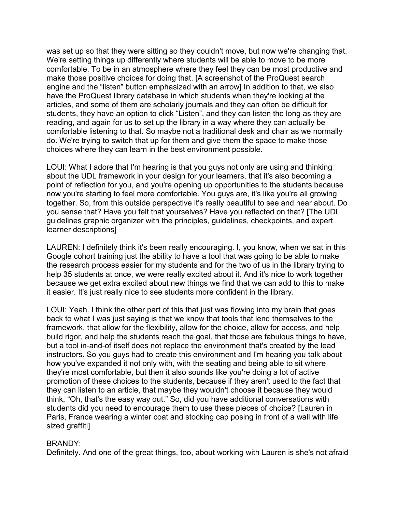was set up so that they were sitting so they couldn't move, but now we're changing that. We're setting things up differently where students will be able to move to be more comfortable. To be in an atmosphere where they feel they can be most productive and make those positive choices for doing that. [A screenshot of the ProQuest search engine and the "listen" button emphasized with an arrow] In addition to that, we also have the ProQuest library database in which students when they're looking at the articles, and some of them are scholarly journals and they can often be difficult for students, they have an option to click "Listen", and they can listen the long as they are reading, and again for us to set up the library in a way where they can actually be comfortable listening to that. So maybe not a traditional desk and chair as we normally do. We're trying to switch that up for them and give them the space to make those choices where they can learn in the best environment possible.

LOUI: What I adore that I'm hearing is that you guys not only are using and thinking about the UDL framework in your design for your learners, that it's also becoming a point of reflection for you, and you're opening up opportunities to the students because now you're starting to feel more comfortable. You guys are, it's like you're all growing together. So, from this outside perspective it's really beautiful to see and hear about. Do you sense that? Have you felt that yourselves? Have you reflected on that? [The UDL guidelines graphic organizer with the principles, guidelines, checkpoints, and expert learner descriptions]

LAUREN: I definitely think it's been really encouraging. I, you know, when we sat in this Google cohort training just the ability to have a tool that was going to be able to make the research process easier for my students and for the two of us in the library trying to help 35 students at once, we were really excited about it. And it's nice to work together because we get extra excited about new things we find that we can add to this to make it easier. It's just really nice to see students more confident in the library.

LOUI: Yeah. I think the other part of this that just was flowing into my brain that goes back to what I was just saying is that we know that tools that lend themselves to the framework, that allow for the flexibility, allow for the choice, allow for access, and help build rigor, and help the students reach the goal, that those are fabulous things to have, but a tool in-and-of itself does not replace the environment that's created by the lead instructors. So you guys had to create this environment and I'm hearing you talk about how you've expanded it not only with, with the seating and being able to sit where they're most comfortable, but then it also sounds like you're doing a lot of active promotion of these choices to the students, because if they aren't used to the fact that they can listen to an article, that maybe they wouldn't choose it because they would think, "Oh, that's the easy way out." So, did you have additional conversations with students did you need to encourage them to use these pieces of choice? [Lauren in Paris, France wearing a winter coat and stocking cap posing in front of a wall with life sized graffiti]

## BRANDY:

Definitely. And one of the great things, too, about working with Lauren is she's not afraid